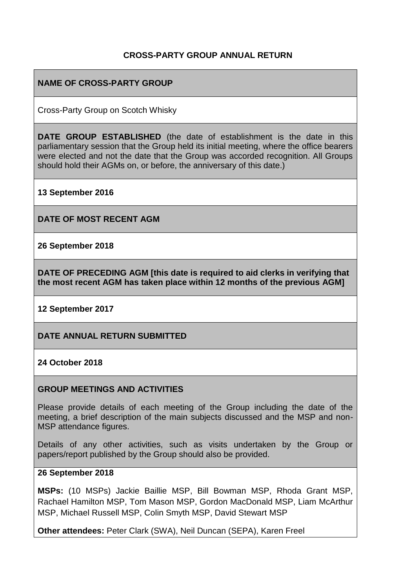### **CROSS-PARTY GROUP ANNUAL RETURN**

### **NAME OF CROSS-PARTY GROUP**

Cross-Party Group on Scotch Whisky

**DATE GROUP ESTABLISHED** (the date of establishment is the date in this parliamentary session that the Group held its initial meeting, where the office bearers were elected and not the date that the Group was accorded recognition. All Groups should hold their AGMs on, or before, the anniversary of this date.)

**13 September 2016**

**DATE OF MOST RECENT AGM**

**26 September 2018**

**DATE OF PRECEDING AGM [this date is required to aid clerks in verifying that the most recent AGM has taken place within 12 months of the previous AGM]**

**12 September 2017**

**DATE ANNUAL RETURN SUBMITTED**

**24 October 2018**

#### **GROUP MEETINGS AND ACTIVITIES**

Please provide details of each meeting of the Group including the date of the meeting, a brief description of the main subjects discussed and the MSP and non-MSP attendance figures.

Details of any other activities, such as visits undertaken by the Group or papers/report published by the Group should also be provided.

### **26 September 2018**

**MSPs:** (10 MSPs) Jackie Baillie MSP, Bill Bowman MSP, Rhoda Grant MSP, Rachael Hamilton MSP, Tom Mason MSP, Gordon MacDonald MSP, Liam McArthur MSP, Michael Russell MSP, Colin Smyth MSP, David Stewart MSP

**Other attendees:** Peter Clark (SWA), Neil Duncan (SEPA), Karen Freel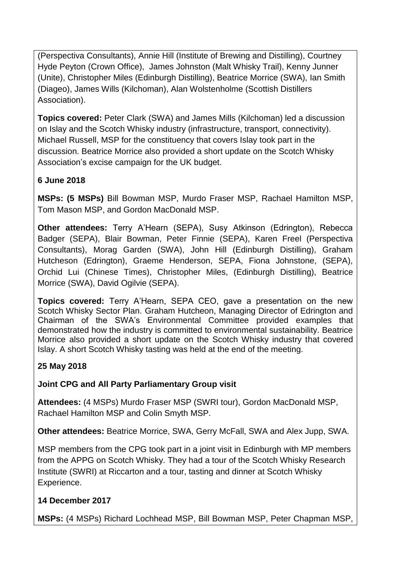(Perspectiva Consultants), Annie Hill (Institute of Brewing and Distilling), Courtney Hyde Peyton (Crown Office), James Johnston (Malt Whisky Trail), Kenny Junner (Unite), Christopher Miles (Edinburgh Distilling), Beatrice Morrice (SWA), Ian Smith (Diageo), James Wills (Kilchoman), Alan Wolstenholme (Scottish Distillers Association).

**Topics covered:** Peter Clark (SWA) and James Mills (Kilchoman) led a discussion on Islay and the Scotch Whisky industry (infrastructure, transport, connectivity). Michael Russell, MSP for the constituency that covers Islay took part in the discussion. Beatrice Morrice also provided a short update on the Scotch Whisky Association's excise campaign for the UK budget.

## **6 June 2018**

**MSPs: (5 MSPs)** Bill Bowman MSP, Murdo Fraser MSP, Rachael Hamilton MSP, Tom Mason MSP, and Gordon MacDonald MSP.

**Other attendees:** Terry A'Hearn (SEPA), Susy Atkinson (Edrington), Rebecca Badger (SEPA), Blair Bowman, Peter Finnie (SEPA), Karen Freel (Perspectiva Consultants), Morag Garden (SWA), John Hill (Edinburgh Distilling), Graham Hutcheson (Edrington), Graeme Henderson, SEPA, Fiona Johnstone, (SEPA), Orchid Lui (Chinese Times), Christopher Miles, (Edinburgh Distilling), Beatrice Morrice (SWA), David Ogilvie (SEPA).

**Topics covered:** Terry A'Hearn, SEPA CEO, gave a presentation on the new Scotch Whisky Sector Plan. Graham Hutcheon, Managing Director of Edrington and Chairman of the SWA's Environmental Committee provided examples that demonstrated how the industry is committed to environmental sustainability. Beatrice Morrice also provided a short update on the Scotch Whisky industry that covered Islay. A short Scotch Whisky tasting was held at the end of the meeting.

## **25 May 2018**

## **Joint CPG and All Party Parliamentary Group visit**

**Attendees:** (4 MSPs) Murdo Fraser MSP (SWRI tour), Gordon MacDonald MSP, Rachael Hamilton MSP and Colin Smyth MSP.

**Other attendees:** Beatrice Morrice, SWA, Gerry McFall, SWA and Alex Jupp, SWA.

MSP members from the CPG took part in a joint visit in Edinburgh with MP members from the APPG on Scotch Whisky. They had a tour of the Scotch Whisky Research Institute (SWRI) at Riccarton and a tour, tasting and dinner at Scotch Whisky Experience.

## **14 December 2017**

**MSPs:** (4 MSPs) Richard Lochhead MSP, Bill Bowman MSP, Peter Chapman MSP,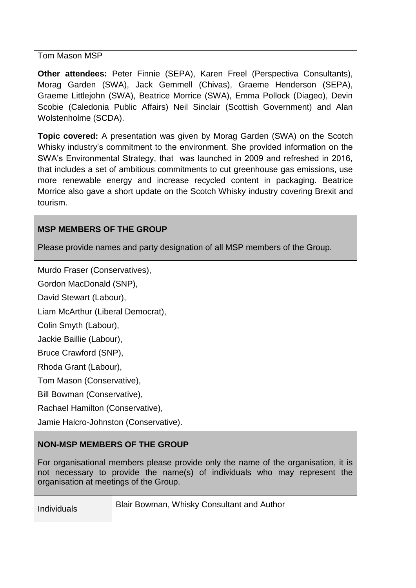### Tom Mason MSP

**Other attendees:** Peter Finnie (SEPA), Karen Freel (Perspectiva Consultants), Morag Garden (SWA), Jack Gemmell (Chivas), Graeme Henderson (SEPA), Graeme Littlejohn (SWA), Beatrice Morrice (SWA), Emma Pollock (Diageo), Devin Scobie (Caledonia Public Affairs) Neil Sinclair (Scottish Government) and Alan Wolstenholme (SCDA).

**Topic covered:** A presentation was given by Morag Garden (SWA) on the Scotch Whisky industry's commitment to the environment. She provided information on the SWA's Environmental Strategy, that was launched in 2009 and refreshed in 2016, that includes a set of ambitious commitments to cut greenhouse gas emissions, use more renewable energy and increase recycled content in packaging. Beatrice Morrice also gave a short update on the Scotch Whisky industry covering Brexit and tourism.

## **MSP MEMBERS OF THE GROUP**

Please provide names and party designation of all MSP members of the Group.

Murdo Fraser (Conservatives),

Gordon MacDonald (SNP),

David Stewart (Labour),

Liam McArthur (Liberal Democrat),

Colin Smyth (Labour),

Jackie Baillie (Labour),

Bruce Crawford (SNP),

Rhoda Grant (Labour),

Tom Mason (Conservative),

Bill Bowman (Conservative),

Rachael Hamilton (Conservative),

Jamie Halcro-Johnston (Conservative).

## **NON-MSP MEMBERS OF THE GROUP**

For organisational members please provide only the name of the organisation, it is not necessary to provide the name(s) of individuals who may represent the organisation at meetings of the Group.

| Blair Bowman, Whisky Consultant and Author |
|--------------------------------------------|
|                                            |
|                                            |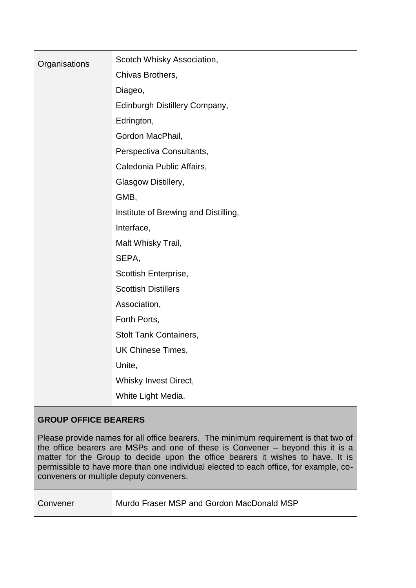| Organisations | Scotch Whisky Association,           |
|---------------|--------------------------------------|
|               | Chivas Brothers,                     |
|               | Diageo,                              |
|               | Edinburgh Distillery Company,        |
|               | Edrington,                           |
|               | Gordon MacPhail,                     |
|               | Perspectiva Consultants,             |
|               | Caledonia Public Affairs,            |
|               | Glasgow Distillery,                  |
|               | GMB,                                 |
|               | Institute of Brewing and Distilling, |
|               | Interface,                           |
|               | Malt Whisky Trail,                   |
|               | SEPA,                                |
|               | Scottish Enterprise,                 |
|               | <b>Scottish Distillers</b>           |
|               | Association,                         |
|               | Forth Ports,                         |
|               | <b>Stolt Tank Containers,</b>        |
|               | UK Chinese Times,                    |
|               | Unite,                               |
|               | Whisky Invest Direct,                |
|               | White Light Media.                   |

## **GROUP OFFICE BEARERS**

Please provide names for all office bearers. The minimum requirement is that two of the office bearers are MSPs and one of these is Convener – beyond this it is a matter for the Group to decide upon the office bearers it wishes to have. It is permissible to have more than one individual elected to each office, for example, coconveners or multiple deputy conveners.

Convener | Murdo Fraser MSP and Gordon MacDonald MSP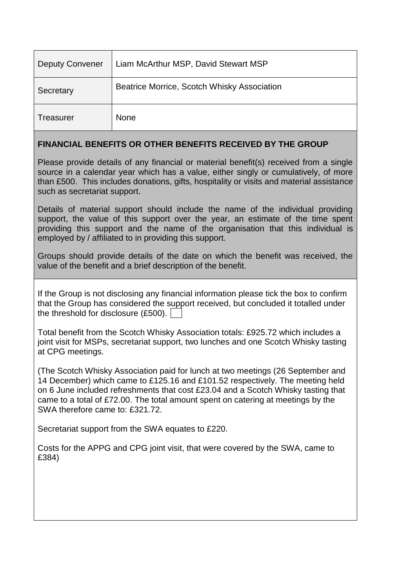| <b>Deputy Convener</b> | Liam McArthur MSP, David Stewart MSP        |  |
|------------------------|---------------------------------------------|--|
| Secretary              | Beatrice Morrice, Scotch Whisky Association |  |
| <b>Treasurer</b>       | <b>None</b>                                 |  |

## **FINANCIAL BENEFITS OR OTHER BENEFITS RECEIVED BY THE GROUP**

Please provide details of any financial or material benefit(s) received from a single source in a calendar year which has a value, either singly or cumulatively, of more than £500. This includes donations, gifts, hospitality or visits and material assistance such as secretariat support.

Details of material support should include the name of the individual providing support, the value of this support over the year, an estimate of the time spent providing this support and the name of the organisation that this individual is employed by / affiliated to in providing this support.

Groups should provide details of the date on which the benefit was received, the value of the benefit and a brief description of the benefit.

If the Group is not disclosing any financial information please tick the box to confirm that the Group has considered the support received, but concluded it totalled under the threshold for disclosure (£500).

Total benefit from the Scotch Whisky Association totals: £925.72 which includes a joint visit for MSPs, secretariat support, two lunches and one Scotch Whisky tasting at CPG meetings.

(The Scotch Whisky Association paid for lunch at two meetings (26 September and 14 December) which came to £125.16 and £101.52 respectively. The meeting held on 6 June included refreshments that cost £23.04 and a Scotch Whisky tasting that came to a total of £72.00. The total amount spent on catering at meetings by the SWA therefore came to: £321.72.

Secretariat support from the SWA equates to £220.

Costs for the APPG and CPG joint visit, that were covered by the SWA, came to £384)